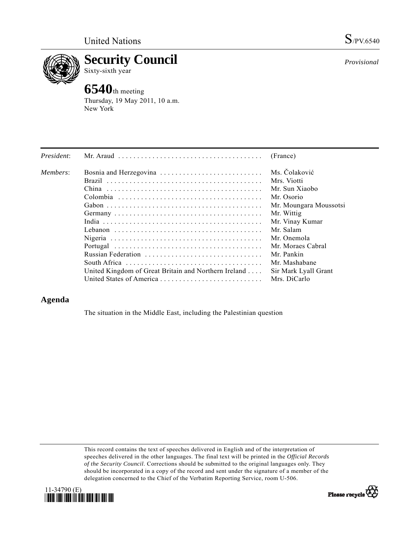

**Security Council**  Sixty-sixth year

## **6540**th meeting

Thursday, 19 May 2011, 10 a.m. New York

| President: | Mr. Araud $\ldots \ldots \ldots \ldots \ldots \ldots \ldots \ldots \ldots \ldots \ldots$ | (France)               |
|------------|------------------------------------------------------------------------------------------|------------------------|
| Members:   |                                                                                          | Ms. Čolaković          |
|            |                                                                                          | Mrs. Viotti            |
|            |                                                                                          | Mr. Sun Xiaobo         |
|            |                                                                                          | Mr. Osorio             |
|            |                                                                                          | Mr. Moungara Moussotsi |
|            |                                                                                          | Mr. Wittig             |
|            |                                                                                          | Mr. Vinay Kumar        |
|            |                                                                                          | Mr. Salam              |
|            |                                                                                          | Mr. Onemola            |
|            |                                                                                          | Mr. Moraes Cabral      |
|            | Russian Federation                                                                       | Mr. Pankin             |
|            |                                                                                          | Mr. Mashabane          |
|            | United Kingdom of Great Britain and Northern Ireland                                     | Sir Mark Lyall Grant   |
|            | United States of America                                                                 | Mrs. DiCarlo           |

## **Agenda**

The situation in the Middle East, including the Palestinian question

This record contains the text of speeches delivered in English and of the interpretation of speeches delivered in the other languages. The final text will be printed in the *Official Records of the Security Council*. Corrections should be submitted to the original languages only. They should be incorporated in a copy of the record and sent under the signature of a member of the delegation concerned to the Chief of the Verbatim Reporting Service, room U-506.





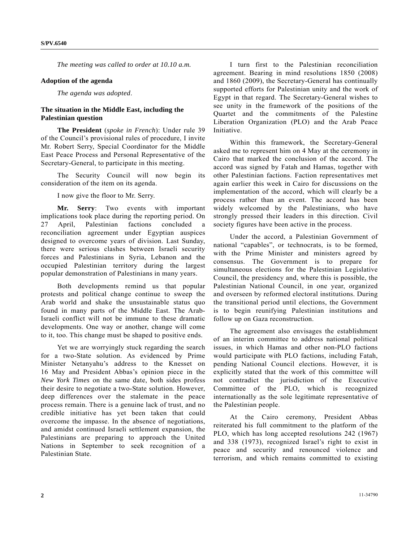*The meeting was called to order at 10.10 a.m.* 

## **Adoption of the agenda**

*The agenda was adopted*.

## **The situation in the Middle East, including the Palestinian question**

**The President** (*spoke in French*): Under rule 39 of the Council's provisional rules of procedure, I invite Mr. Robert Serry, Special Coordinator for the Middle East Peace Process and Personal Representative of the Secretary-General, to participate in this meeting.

 The Security Council will now begin its consideration of the item on its agenda.

I now give the floor to Mr. Serry.

**Mr. Serry**: Two events with important implications took place during the reporting period. On 27 April, Palestinian factions concluded a reconciliation agreement under Egyptian auspices designed to overcome years of division. Last Sunday, there were serious clashes between Israeli security forces and Palestinians in Syria, Lebanon and the occupied Palestinian territory during the largest popular demonstration of Palestinians in many years.

 Both developments remind us that popular protests and political change continue to sweep the Arab world and shake the unsustainable status quo found in many parts of the Middle East. The Arab-Israeli conflict will not be immune to these dramatic developments. One way or another, change will come to it, too. This change must be shaped to positive ends.

 Yet we are worryingly stuck regarding the search for a two-State solution. As evidenced by Prime Minister Netanyahu's address to the Knesset on 16 May and President Abbas's opinion piece in the *New York Times* on the same date, both sides profess their desire to negotiate a two-State solution. However, deep differences over the stalemate in the peace process remain. There is a genuine lack of trust, and no credible initiative has yet been taken that could overcome the impasse. In the absence of negotiations, and amidst continued Israeli settlement expansion, the Palestinians are preparing to approach the United Nations in September to seek recognition of a Palestinian State.

 I turn first to the Palestinian reconciliation agreement. Bearing in mind resolutions 1850 (2008) and 1860 (2009), the Secretary-General has continually supported efforts for Palestinian unity and the work of Egypt in that regard. The Secretary-General wishes to see unity in the framework of the positions of the Quartet and the commitments of the Palestine Liberation Organization (PLO) and the Arab Peace Initiative.

 Within this framework, the Secretary-General asked me to represent him on 4 May at the ceremony in Cairo that marked the conclusion of the accord. The accord was signed by Fatah and Hamas, together with other Palestinian factions. Faction representatives met again earlier this week in Cairo for discussions on the implementation of the accord, which will clearly be a process rather than an event. The accord has been widely welcomed by the Palestinians, who have strongly pressed their leaders in this direction. Civil society figures have been active in the process.

 Under the accord, a Palestinian Government of national "capables", or technocrats, is to be formed, with the Prime Minister and ministers agreed by consensus. The Government is to prepare for simultaneous elections for the Palestinian Legislative Council, the presidency and, where this is possible, the Palestinian National Council, in one year, organized and overseen by reformed electoral institutions. During the transitional period until elections, the Government is to begin reunifying Palestinian institutions and follow up on Gaza reconstruction.

 The agreement also envisages the establishment of an interim committee to address national political issues, in which Hamas and other non-PLO factions would participate with PLO factions, including Fatah, pending National Council elections. However, it is explicitly stated that the work of this committee will not contradict the jurisdiction of the Executive Committee of the PLO, which is recognized internationally as the sole legitimate representative of the Palestinian people.

 At the Cairo ceremony, President Abbas reiterated his full commitment to the platform of the PLO, which has long accepted resolutions 242 (1967) and 338 (1973), recognized Israel's right to exist in peace and security and renounced violence and terrorism, and which remains committed to existing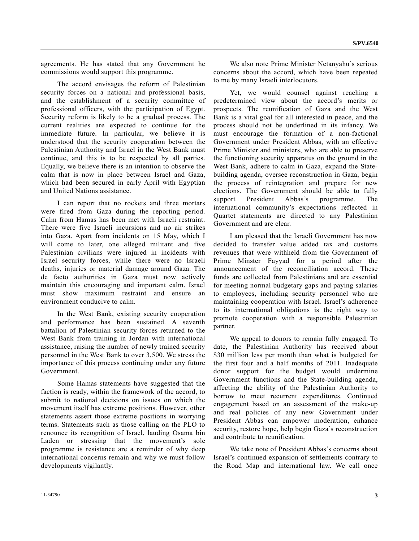agreements. He has stated that any Government he commissions would support this programme.

 The accord envisages the reform of Palestinian security forces on a national and professional basis, and the establishment of a security committee of professional officers, with the participation of Egypt. Security reform is likely to be a gradual process. The current realities are expected to continue for the immediate future. In particular, we believe it is understood that the security cooperation between the Palestinian Authority and Israel in the West Bank must continue, and this is to be respected by all parties. Equally, we believe there is an intention to observe the calm that is now in place between Israel and Gaza, which had been secured in early April with Egyptian and United Nations assistance.

 I can report that no rockets and three mortars were fired from Gaza during the reporting period. Calm from Hamas has been met with Israeli restraint. There were five Israeli incursions and no air strikes into Gaza. Apart from incidents on 15 May, which I will come to later, one alleged militant and five Palestinian civilians were injured in incidents with Israel security forces, while there were no Israeli deaths, injuries or material damage around Gaza. The de facto authorities in Gaza must now actively maintain this encouraging and important calm. Israel must show maximum restraint and ensure an environment conducive to calm.

 In the West Bank, existing security cooperation and performance has been sustained. A seventh battalion of Palestinian security forces returned to the West Bank from training in Jordan with international assistance, raising the number of newly trained security personnel in the West Bank to over 3,500. We stress the importance of this process continuing under any future Government.

 Some Hamas statements have suggested that the faction is ready, within the framework of the accord, to submit to national decisions on issues on which the movement itself has extreme positions. However, other statements assert those extreme positions in worrying terms. Statements such as those calling on the PLO to renounce its recognition of Israel, lauding Osama bin Laden or stressing that the movement's sole programme is resistance are a reminder of why deep international concerns remain and why we must follow developments vigilantly.

 We also note Prime Minister Netanyahu's serious concerns about the accord, which have been repeated to me by many Israeli interlocutors.

 Yet, we would counsel against reaching a predetermined view about the accord's merits or prospects. The reunification of Gaza and the West Bank is a vital goal for all interested in peace, and the process should not be underlined in its infancy. We must encourage the formation of a non-factional Government under President Abbas, with an effective Prime Minister and ministers, who are able to preserve the functioning security apparatus on the ground in the West Bank, adhere to calm in Gaza, expand the Statebuilding agenda, oversee reconstruction in Gaza, begin the process of reintegration and prepare for new elections. The Government should be able to fully support President Abbas's programme. The international community's expectations reflected in Quartet statements are directed to any Palestinian Government and are clear.

 I am pleased that the Israeli Government has now decided to transfer value added tax and customs revenues that were withheld from the Government of Prime Minster Fayyad for a period after the announcement of the reconciliation accord. These funds are collected from Palestinians and are essential for meeting normal budgetary gaps and paying salaries to employees, including security personnel who are maintaining cooperation with Israel. Israel's adherence to its international obligations is the right way to promote cooperation with a responsible Palestinian partner.

 We appeal to donors to remain fully engaged. To date, the Palestinian Authority has received about \$30 million less per month than what is budgeted for the first four and a half months of 2011. Inadequate donor support for the budget would undermine Government functions and the State-building agenda, affecting the ability of the Palestinian Authority to borrow to meet recurrent expenditures. Continued engagement based on an assessment of the make-up and real policies of any new Government under President Abbas can empower moderation, enhance security, restore hope, help begin Gaza's reconstruction and contribute to reunification.

 We take note of President Abbas's concerns about Israel's continued expansion of settlements contrary to the Road Map and international law. We call once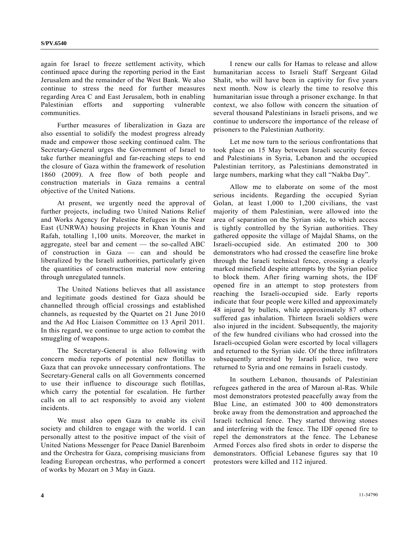again for Israel to freeze settlement activity, which continued apace during the reporting period in the East Jerusalem and the remainder of the West Bank. We also continue to stress the need for further measures regarding Area C and East Jerusalem, both in enabling Palestinian efforts and supporting vulnerable communities.

 Further measures of liberalization in Gaza are also essential to solidify the modest progress already made and empower those seeking continued calm. The Secretary-General urges the Government of Israel to take further meaningful and far-reaching steps to end the closure of Gaza within the framework of resolution 1860 (2009). A free flow of both people and construction materials in Gaza remains a central objective of the United Nations.

 At present, we urgently need the approval of further projects, including two United Nations Relief and Works Agency for Palestine Refugees in the Near East (UNRWA) housing projects in Khan Younis and Rafah, totalling 1,100 units. Moreover, the market in aggregate, steel bar and cement — the so-called ABC of construction in Gaza — can and should be liberalized by the Israeli authorities, particularly given the quantities of construction material now entering through unregulated tunnels.

 The United Nations believes that all assistance and legitimate goods destined for Gaza should be channelled through official crossings and established channels, as requested by the Quartet on 21 June 2010 and the Ad Hoc Liaison Committee on 13 April 2011. In this regard, we continue to urge action to combat the smuggling of weapons.

 The Secretary-General is also following with concern media reports of potential new flotillas to Gaza that can provoke unnecessary confrontations. The Secretary-General calls on all Governments concerned to use their influence to discourage such flotillas, which carry the potential for escalation. He further calls on all to act responsibly to avoid any violent incidents.

 We must also open Gaza to enable its civil society and children to engage with the world. I can personally attest to the positive impact of the visit of United Nations Messenger for Peace Daniel Barenboim and the Orchestra for Gaza, comprising musicians from leading European orchestras, who performed a concert of works by Mozart on 3 May in Gaza.

 I renew our calls for Hamas to release and allow humanitarian access to Israeli Staff Sergeant Gilad Shalit, who will have been in captivity for five years next month. Now is clearly the time to resolve this humanitarian issue through a prisoner exchange. In that context, we also follow with concern the situation of several thousand Palestinians in Israeli prisons, and we continue to underscore the importance of the release of prisoners to the Palestinian Authority.

 Let me now turn to the serious confrontations that took place on 15 May between Israeli security forces and Palestinians in Syria, Lebanon and the occupied Palestinian territory, as Palestinians demonstrated in large numbers, marking what they call "Nakba Day".

 Allow me to elaborate on some of the most serious incidents. Regarding the occupied Syrian Golan, at least 1,000 to 1,200 civilians, the vast majority of them Palestinian, were allowed into the area of separation on the Syrian side, to which access is tightly controlled by the Syrian authorities. They gathered opposite the village of Majdal Shams, on the Israeli-occupied side. An estimated 200 to 300 demonstrators who had crossed the ceasefire line broke through the Israeli technical fence, crossing a clearly marked minefield despite attempts by the Syrian police to block them. After firing warning shots, the IDF opened fire in an attempt to stop protesters from reaching the Israeli-occupied side. Early reports indicate that four people were killed and approximately 48 injured by bullets, while approximately 87 others suffered gas inhalation. Thirteen Israeli soldiers were also injured in the incident. Subsequently, the majority of the few hundred civilians who had crossed into the Israeli-occupied Golan were escorted by local villagers and returned to the Syrian side. Of the three infiltrators subsequently arrested by Israeli police, two were returned to Syria and one remains in Israeli custody.

 In southern Lebanon, thousands of Palestinian refugees gathered in the area of Maroun al-Ras. While most demonstrators protested peacefully away from the Blue Line, an estimated 300 to 400 demonstrators broke away from the demonstration and approached the Israeli technical fence. They started throwing stones and interfering with the fence. The IDF opened fire to repel the demonstrators at the fence. The Lebanese Armed Forces also fired shots in order to disperse the demonstrators. Official Lebanese figures say that 10 protestors were killed and 112 injured.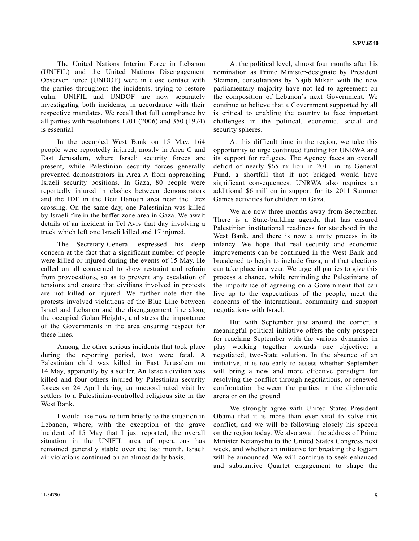The United Nations Interim Force in Lebanon (UNIFIL) and the United Nations Disengagement Observer Force (UNDOF) were in close contact with the parties throughout the incidents, trying to restore calm. UNIFIL and UNDOF are now separately investigating both incidents, in accordance with their respective mandates. We recall that full compliance by all parties with resolutions 1701 (2006) and 350 (1974) is essential.

 In the occupied West Bank on 15 May, 164 people were reportedly injured, mostly in Area C and East Jerusalem, where Israeli security forces are present, while Palestinian security forces generally prevented demonstrators in Area A from approaching Israeli security positions. In Gaza, 80 people were reportedly injured in clashes between demonstrators and the IDF in the Beit Hanoun area near the Erez crossing. On the same day, one Palestinian was killed by Israeli fire in the buffer zone area in Gaza. We await details of an incident in Tel Aviv that day involving a truck which left one Israeli killed and 17 injured.

 The Secretary-General expressed his deep concern at the fact that a significant number of people were killed or injured during the events of 15 May. He called on all concerned to show restraint and refrain from provocations, so as to prevent any escalation of tensions and ensure that civilians involved in protests are not killed or injured. We further note that the protests involved violations of the Blue Line between Israel and Lebanon and the disengagement line along the occupied Golan Heights, and stress the importance of the Governments in the area ensuring respect for these lines.

 Among the other serious incidents that took place during the reporting period, two were fatal. A Palestinian child was killed in East Jerusalem on 14 May, apparently by a settler. An Israeli civilian was killed and four others injured by Palestinian security forces on 24 April during an uncoordinated visit by settlers to a Palestinian-controlled religious site in the West Bank.

 I would like now to turn briefly to the situation in Lebanon, where, with the exception of the grave incident of 15 May that I just reported, the overall situation in the UNIFIL area of operations has remained generally stable over the last month. Israeli air violations continued on an almost daily basis.

 At the political level, almost four months after his nomination as Prime Minister-designate by President Sleiman, consultations by Najib Mikati with the new parliamentary majority have not led to agreement on the composition of Lebanon's next Government. We continue to believe that a Government supported by all is critical to enabling the country to face important challenges in the political, economic, social and security spheres.

 At this difficult time in the region, we take this opportunity to urge continued funding for UNRWA and its support for refugees. The Agency faces an overall deficit of nearly \$65 million in 2011 in its General Fund, a shortfall that if not bridged would have significant consequences. UNRWA also requires an additional \$6 million in support for its 2011 Summer Games activities for children in Gaza.

 We are now three months away from September. There is a State-building agenda that has ensured Palestinian institutional readiness for statehood in the West Bank, and there is now a unity process in its infancy. We hope that real security and economic improvements can be continued in the West Bank and broadened to begin to include Gaza, and that elections can take place in a year. We urge all parties to give this process a chance, while reminding the Palestinians of the importance of agreeing on a Government that can live up to the expectations of the people, meet the concerns of the international community and support negotiations with Israel.

 But with September just around the corner, a meaningful political initiative offers the only prospect for reaching September with the various dynamics in play working together towards one objective: a negotiated, two-State solution. In the absence of an initiative, it is too early to assess whether September will bring a new and more effective paradigm for resolving the conflict through negotiations, or renewed confrontation between the parties in the diplomatic arena or on the ground.

 We strongly agree with United States President Obama that it is more than ever vital to solve this conflict, and we will be following closely his speech on the region today. We also await the address of Prime Minister Netanyahu to the United States Congress next week, and whether an initiative for breaking the logjam will be announced. We will continue to seek enhanced and substantive Quartet engagement to shape the